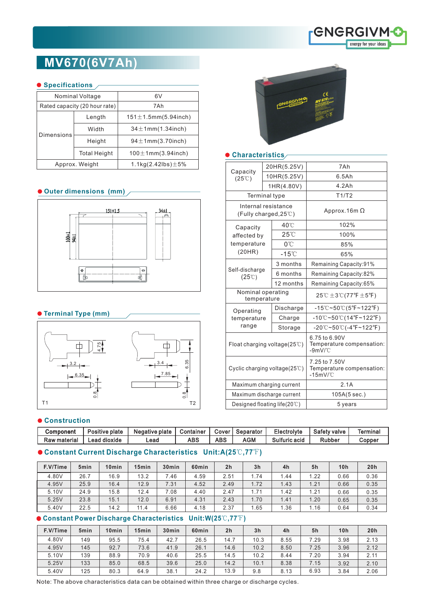

# **MV670(6V7Ah)**

#### **O** Specifications /

|            | Nominal Voltage               | 6V                             |  |  |  |  |
|------------|-------------------------------|--------------------------------|--|--|--|--|
|            | Rated capacity (20 hour rate) | 7 A h                          |  |  |  |  |
| Dimensions | Length                        | $151 \pm 1.5$ mm $(5.94$ inch) |  |  |  |  |
|            | Width                         | $34 \pm 1$ mm $(1.34$ inch)    |  |  |  |  |
|            | Height                        | $94 \pm 1$ mm $(3.70$ inch)    |  |  |  |  |
|            | <b>Total Height</b>           | $100 \pm 1$ mm $(3.94$ inch)   |  |  |  |  |
|            | Approx. Weight                | 1.1kg(2.42lbs) $\pm$ 5%        |  |  |  |  |

### **Outer dimensions (mm)**



#### **Terminal Type (mm)**



#### $\bullet$  Construction

| Component    | Positive plate | Negative plate | Container | Cover | Separator | Electrolyte   | Safety valve | Termina |
|--------------|----------------|----------------|-----------|-------|-----------|---------------|--------------|---------|
| Raw material | Lead dioxide   | Lead           | ABS       | ABS   | AGM       | Sulfuric acid | Rubber       | Copper  |

# **Constant Current Discharge Characteristics Unit:A(25**℃**,77**℉**)**

| F.V/Time | 5 <sub>min</sub> | 10 <sub>min</sub> | 15 <sub>min</sub> | 30 <sub>min</sub> | 60 <sub>min</sub> | 2 <sub>h</sub> | 3 <sub>h</sub> | 4h   | 5h   | 10 <sub>h</sub> | 20h  |
|----------|------------------|-------------------|-------------------|-------------------|-------------------|----------------|----------------|------|------|-----------------|------|
| 4.80V    | 26.7             | 16.9              | 13.2              | 7.46              | 4.59              | 2.51           | 1.74           | 1.44 | 1.22 | 0.66            | 0.36 |
| 4.95V    | 25.9             | 16.4              | 12.9              | 7.31              | 4.52              | 2.49           | 1.72           | 1.43 | 1.21 | 0.66            | 0.35 |
| 5.10V    | 24.9             | 15.8              | 12.4              | 7.08              | 4.40              | 2.47           | 1.71           | 1.42 | 21.، | 0.66            | 0.35 |
| 5.25V    | 23.8             | 15.1              | 12.0              | 6.91              | 4.31              | 2.43           | 1.70           | 1.41 | 1.20 | 0.65            | 0.35 |
| 5.40V    | 22.5             | 14.2              | 11.4              | 6.66              | 4.18              | 2.37           | 1.65           | 1.36 | 1.16 | 0.64            | 0.34 |

## **Constant Power Discharge Characteristics Unit:W(25**℃**,77**℉**)**

| F.V/Time | 5 <sub>min</sub> | 10 <sub>min</sub> | 15 <sub>min</sub> | 30 <sub>min</sub> | 60 <sub>min</sub> | 2 <sub>h</sub> | 3 <sub>h</sub> | 4h   | 5h   | 10 <sub>h</sub> | 20h  |
|----------|------------------|-------------------|-------------------|-------------------|-------------------|----------------|----------------|------|------|-----------------|------|
| 4.80V    | 149              | 95.5              | 75.4              | 42.7              | 26.5              | 14.7           | 10.3           | 8.55 | 7.29 | 3.98            | 2.13 |
| 4.95V    | 145              | 92.7              | 73.6              | 41.9              | 26.1              | 14.6           | 10.2           | 8.50 | 7.25 | 3.96            | 2.12 |
| 5.10V    | 139              | 88.9              | 70.9              | 40.6              | 25.5              | 14.5           | 10.2           | 8.44 | 7.20 | 3.94            | 2.11 |
| 5.25V    | 133              | 85.0              | 68.5              | 39.6              | 25.0              | 14.2           | 10.1           | 8.38 | 7.15 | 3.92            | 2.10 |
| 5.40V    | 125              | 80.3              | 64.9              | 38.1              | 24.2              | 13.9           | 9.8            | 8.13 | 6.93 | 3.84            | 2.06 |

Note: The above characteristics data can be obtained within three charge or discharge cycles.



#### **Characteristics**

| Capacity<br>$(25^{\circ}\text{C})$           |          | 20HR(5.25V)     | 7Ah                                                                                   |  |  |  |  |
|----------------------------------------------|----------|-----------------|---------------------------------------------------------------------------------------|--|--|--|--|
|                                              |          | 10HR(5.25V)     | 6.5Ah                                                                                 |  |  |  |  |
|                                              |          | 1HR(4.80V)      | 4.2Ah                                                                                 |  |  |  |  |
| <b>Terminal type</b>                         |          |                 | T1/T2                                                                                 |  |  |  |  |
| Internal resistance<br>(Fully charged, 25°C) |          |                 | Approx.16m $\Omega$                                                                   |  |  |  |  |
| Capacity                                     |          | 40°C            | 102%                                                                                  |  |  |  |  |
| affected by                                  |          | $25^{\circ}$    | 100%                                                                                  |  |  |  |  |
| temperature                                  |          | 0°C             | 85%                                                                                   |  |  |  |  |
| (20HR)                                       |          | $-15^{\circ}$ C | 65%                                                                                   |  |  |  |  |
|                                              | 3 months |                 | Remaining Capacity:91%                                                                |  |  |  |  |
| Self-discharge<br>$(25^{\circ}\text{C})$     |          | 6 months        | Remaining Capacity:82%                                                                |  |  |  |  |
|                                              |          | 12 months       | Remaining Capacity:65%                                                                |  |  |  |  |
| Nominal operating<br>temperature             |          |                 | 25℃ $\pm$ 3℃(77°F $\pm$ 5°F)                                                          |  |  |  |  |
| Operating                                    |          | Discharge       | $-15^{\circ}\text{C}-50^{\circ}\text{C}(5^{\circ}\text{F}-122^{\circ}\text{F})$       |  |  |  |  |
| temperature                                  |          | Charge          | $-10^{\circ}$ C~50 $^{\circ}$ C(14°F~122°F)                                           |  |  |  |  |
| range                                        |          | Storage         | $-20^{\circ}\text{C}-50^{\circ}\text{C}$ (-4 $^{\circ}\text{F}-122^{\circ}\text{F}$ ) |  |  |  |  |
| Float charging voltage(25°C)                 |          |                 | 6.75 to 6.90V<br>Temperature compensation:<br>$-9mV$ $^{\circ}$ C                     |  |  |  |  |
| Cyclic charging voltage $(25^{\circ}C)$      |          |                 | 7.25 to 7.50V<br>Temperature compensation:<br>$-15mV$ /°C                             |  |  |  |  |
| Maximum charging current                     |          |                 | 2.1A                                                                                  |  |  |  |  |
| Maximum discharge current                    |          |                 | 105A(5 sec.)                                                                          |  |  |  |  |
| Designed floating life(20℃)                  |          |                 | 5 years                                                                               |  |  |  |  |